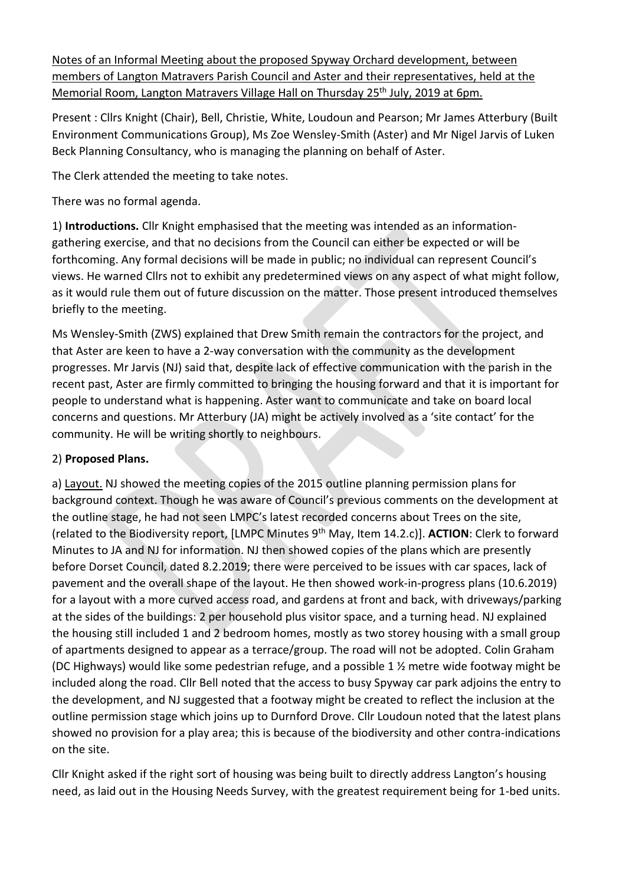Notes of an Informal Meeting about the proposed Spyway Orchard development, between members of Langton Matravers Parish Council and Aster and their representatives, held at the Memorial Room, Langton Matravers Village Hall on Thursday 25<sup>th</sup> July, 2019 at 6pm.

Present : Cllrs Knight (Chair), Bell, Christie, White, Loudoun and Pearson; Mr James Atterbury (Built Environment Communications Group), Ms Zoe Wensley-Smith (Aster) and Mr Nigel Jarvis of Luken Beck Planning Consultancy, who is managing the planning on behalf of Aster.

The Clerk attended the meeting to take notes.

There was no formal agenda.

1) **Introductions.** Cllr Knight emphasised that the meeting was intended as an informationgathering exercise, and that no decisions from the Council can either be expected or will be forthcoming. Any formal decisions will be made in public; no individual can represent Council's views. He warned Cllrs not to exhibit any predetermined views on any aspect of what might follow, as it would rule them out of future discussion on the matter. Those present introduced themselves briefly to the meeting.

Ms Wensley-Smith (ZWS) explained that Drew Smith remain the contractors for the project, and that Aster are keen to have a 2-way conversation with the community as the development progresses. Mr Jarvis (NJ) said that, despite lack of effective communication with the parish in the recent past, Aster are firmly committed to bringing the housing forward and that it is important for people to understand what is happening. Aster want to communicate and take on board local concerns and questions. Mr Atterbury (JA) might be actively involved as a 'site contact' for the community. He will be writing shortly to neighbours.

## 2) **Proposed Plans.**

a) Layout. NJ showed the meeting copies of the 2015 outline planning permission plans for background context. Though he was aware of Council's previous comments on the development at the outline stage, he had not seen LMPC's latest recorded concerns about Trees on the site, (related to the Biodiversity report, [LMPC Minutes 9th May, Item 14.2.c)]. **ACTION**: Clerk to forward Minutes to JA and NJ for information. NJ then showed copies of the plans which are presently before Dorset Council, dated 8.2.2019; there were perceived to be issues with car spaces, lack of pavement and the overall shape of the layout. He then showed work-in-progress plans (10.6.2019) for a layout with a more curved access road, and gardens at front and back, with driveways/parking at the sides of the buildings: 2 per household plus visitor space, and a turning head. NJ explained the housing still included 1 and 2 bedroom homes, mostly as two storey housing with a small group of apartments designed to appear as a terrace/group. The road will not be adopted. Colin Graham (DC Highways) would like some pedestrian refuge, and a possible 1 ½ metre wide footway might be included along the road. Cllr Bell noted that the access to busy Spyway car park adjoins the entry to the development, and NJ suggested that a footway might be created to reflect the inclusion at the outline permission stage which joins up to Durnford Drove. Cllr Loudoun noted that the latest plans showed no provision for a play area; this is because of the biodiversity and other contra-indications on the site.

Cllr Knight asked if the right sort of housing was being built to directly address Langton's housing need, as laid out in the Housing Needs Survey, with the greatest requirement being for 1-bed units.